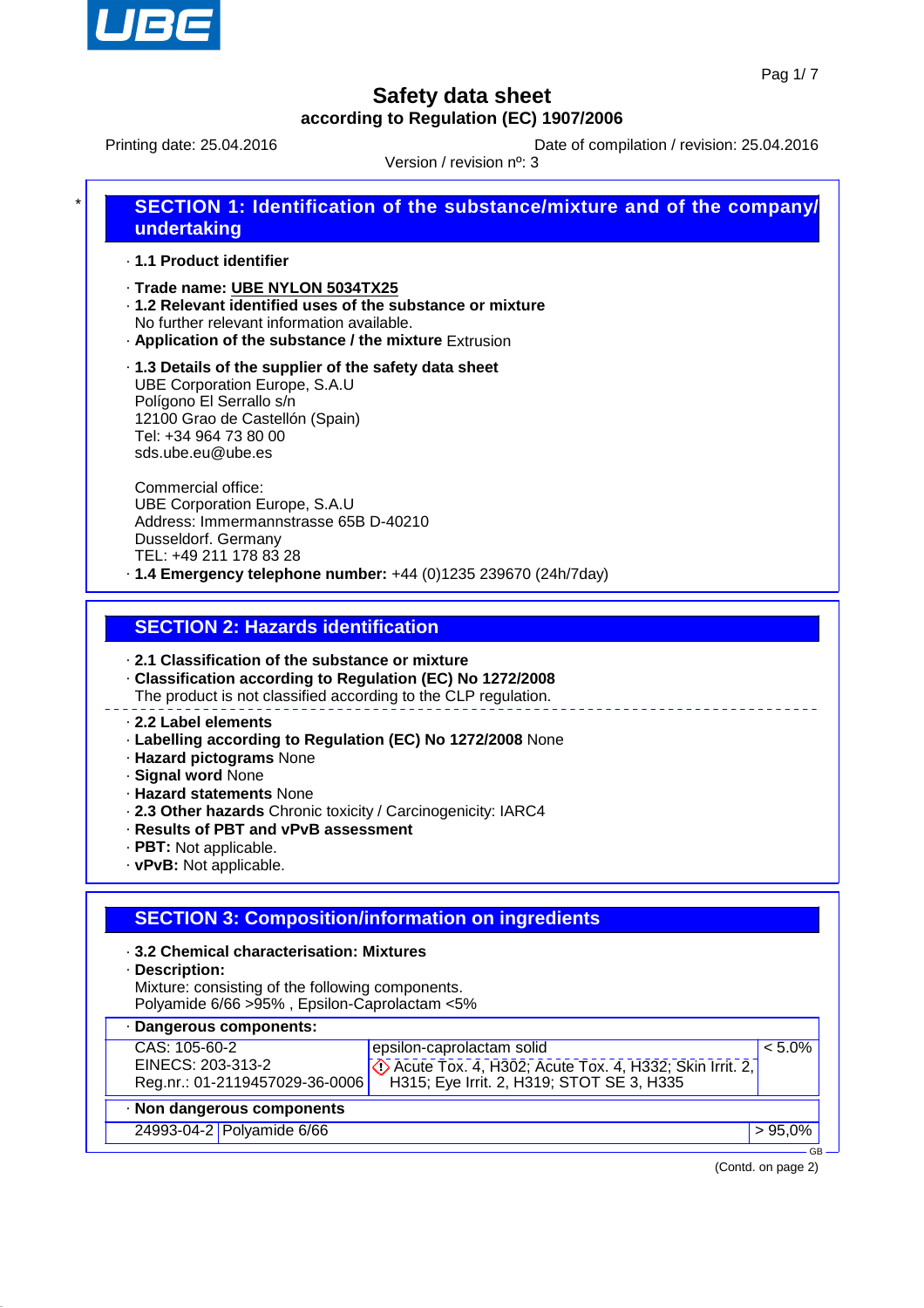

Printing date: 25.04.2016 **Date of compilation / revision: 25.04.2016** 

Version / revision nº: 3

| * I | SECTION 1: Identification of the substance/mixture and of the company/ |
|-----|------------------------------------------------------------------------|
|     | undertaking                                                            |

· **1.1 Product identifier**

- · **Trade name: UBE NYLON 5034TX25**
- · **1.2 Relevant identified uses of the substance or mixture** No further relevant information available.
- · **Application of the substance / the mixture** Extrusion

· **1.3 Details of the supplier of the safety data sheet** UBE Corporation Europe, S.A.U Polígono El Serrallo s/n 12100 Grao de Castellón (Spain) Tel: +34 964 73 80 00 sds.ube.eu@ube.es

Commercial office: UBE Corporation Europe, S.A.U Address: Immermannstrasse 65B D-40210 Dusseldorf. Germany TEL: +49 211 178 83 28 · **1.4 Emergency telephone number:** +44 (0)1235 239670 (24h/7day)

**SECTION 2: Hazards identification**

· **2.1 Classification of the substance or mixture**

- · **Classification according to Regulation (EC) No 1272/2008**
- The product is not classified according to the CLP regulation.

#### · **2.2 Label elements**

- · **Labelling according to Regulation (EC) No 1272/2008** None
- · **Hazard pictograms** None
- · **Signal word** None
- · **Hazard statements** None
- · **2.3 Other hazards** Chronic toxicity / Carcinogenicity: IARC4
- · **Results of PBT and vPvB assessment**
- · **PBT:** Not applicable.
- · **vPvB:** Not applicable.

## **SECTION 3: Composition/information on ingredients**

- · **3.2 Chemical characterisation: Mixtures**
- · **Description:**
- Mixture: consisting of the following components. Polyamide 6/66 >95% , Epsilon-Caprolactam <5%

| · Dangerous components:        |                                                                                                                        |           |  |  |  |
|--------------------------------|------------------------------------------------------------------------------------------------------------------------|-----------|--|--|--|
| CAS: 105-60-2                  | epsilon-caprolactam solid                                                                                              | $< 5.0\%$ |  |  |  |
| EINECS: 203-313-2              | $\sqrt{\binom{5}{2}}$ Acute Tox. 4, H302; Acute Tox. 4, H332; Skin Irrit. 2, H315; Eye Irrit. 2, H319; STOT SE 3, H335 |           |  |  |  |
| Reg.nr.: 01-2119457029-36-0006 |                                                                                                                        |           |  |  |  |
| · Non dangerous components     |                                                                                                                        |           |  |  |  |
| 24993-04-2 Polyamide 6/66      |                                                                                                                        | $>95,0\%$ |  |  |  |

(Contd. on page 2)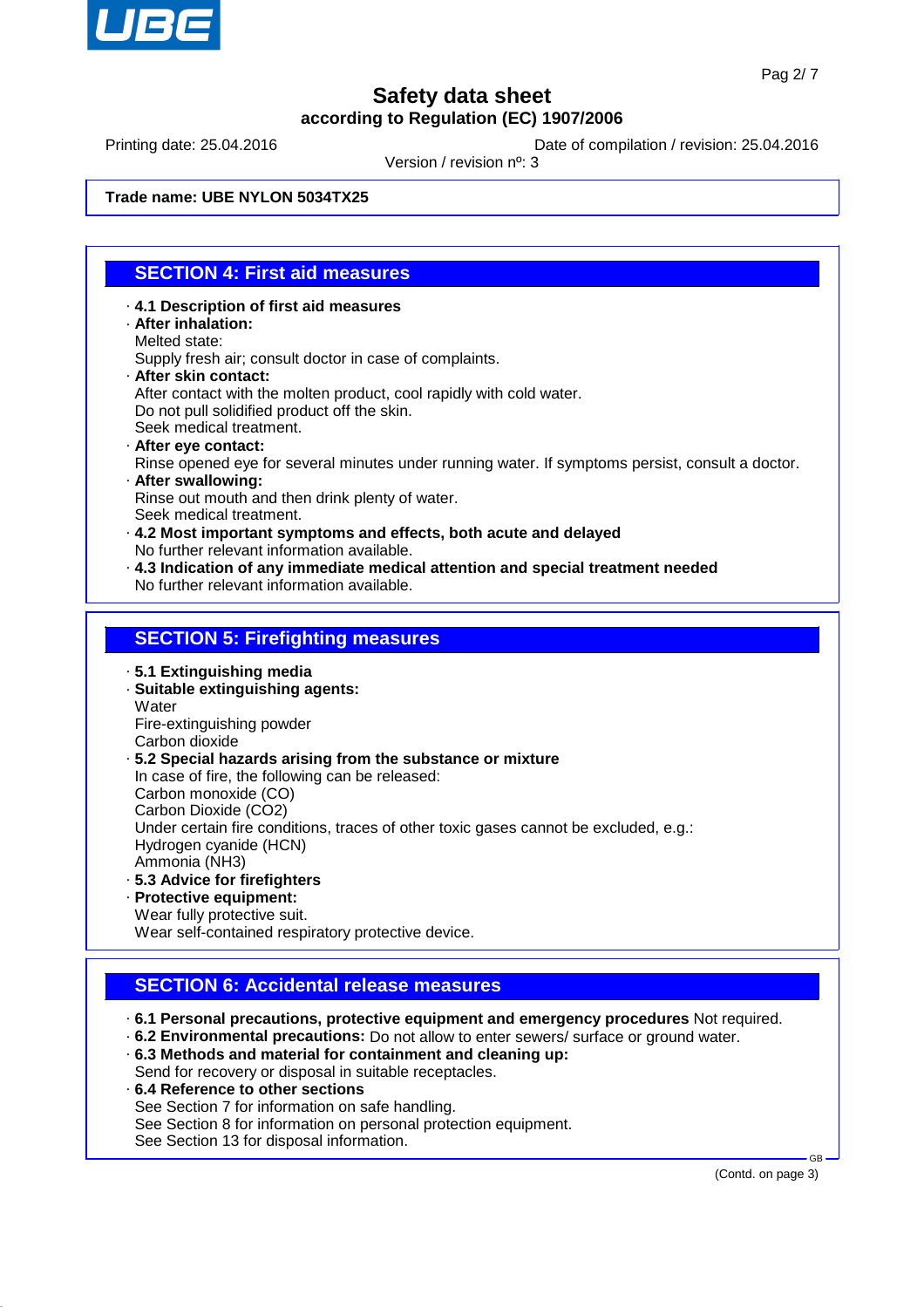

Printing date: 25.04.2016 **Date of compilation / revision: 25.04.2016** 

Version / revision nº: 3

**Trade name: UBE NYLON 5034TX25**

## **SECTION 4: First aid measures**

- · **4.1 Description of first aid measures** · **After inhalation:** Melted state: Supply fresh air; consult doctor in case of complaints. · **After skin contact:** After contact with the molten product, cool rapidly with cold water. Do not pull solidified product off the skin. Seek medical treatment. · **After eye contact:**
- Rinse opened eye for several minutes under running water. If symptoms persist, consult a doctor. · **After swallowing:**

Rinse out mouth and then drink plenty of water. Seek medical treatment.

- · **4.2 Most important symptoms and effects, both acute and delayed** No further relevant information available.
- · **4.3 Indication of any immediate medical attention and special treatment needed** No further relevant information available.

### **SECTION 5: Firefighting measures**

· **5.1 Extinguishing media**

· **Suitable extinguishing agents: Water** Fire-extinguishing powder

Carbon dioxide · **5.2 Special hazards arising from the substance or mixture**

In case of fire, the following can be released:

Carbon monoxide (CO)

Carbon Dioxide (CO2)

Under certain fire conditions, traces of other toxic gases cannot be excluded, e.g.:

Hydrogen cyanide (HCN)

Ammonia (NH3)

- · **5.3 Advice for firefighters**
- · **Protective equipment:** Wear fully protective suit.

Wear self-contained respiratory protective device.

# **SECTION 6: Accidental release measures**

· **6.1 Personal precautions, protective equipment and emergency procedures** Not required.

- · **6.2 Environmental precautions:** Do not allow to enter sewers/ surface or ground water.
- · **6.3 Methods and material for containment and cleaning up:** Send for recovery or disposal in suitable receptacles.
- · **6.4 Reference to other sections** See Section 7 for information on safe handling. See Section 8 for information on personal protection equipment. See Section 13 for disposal information.

(Contd. on page 3)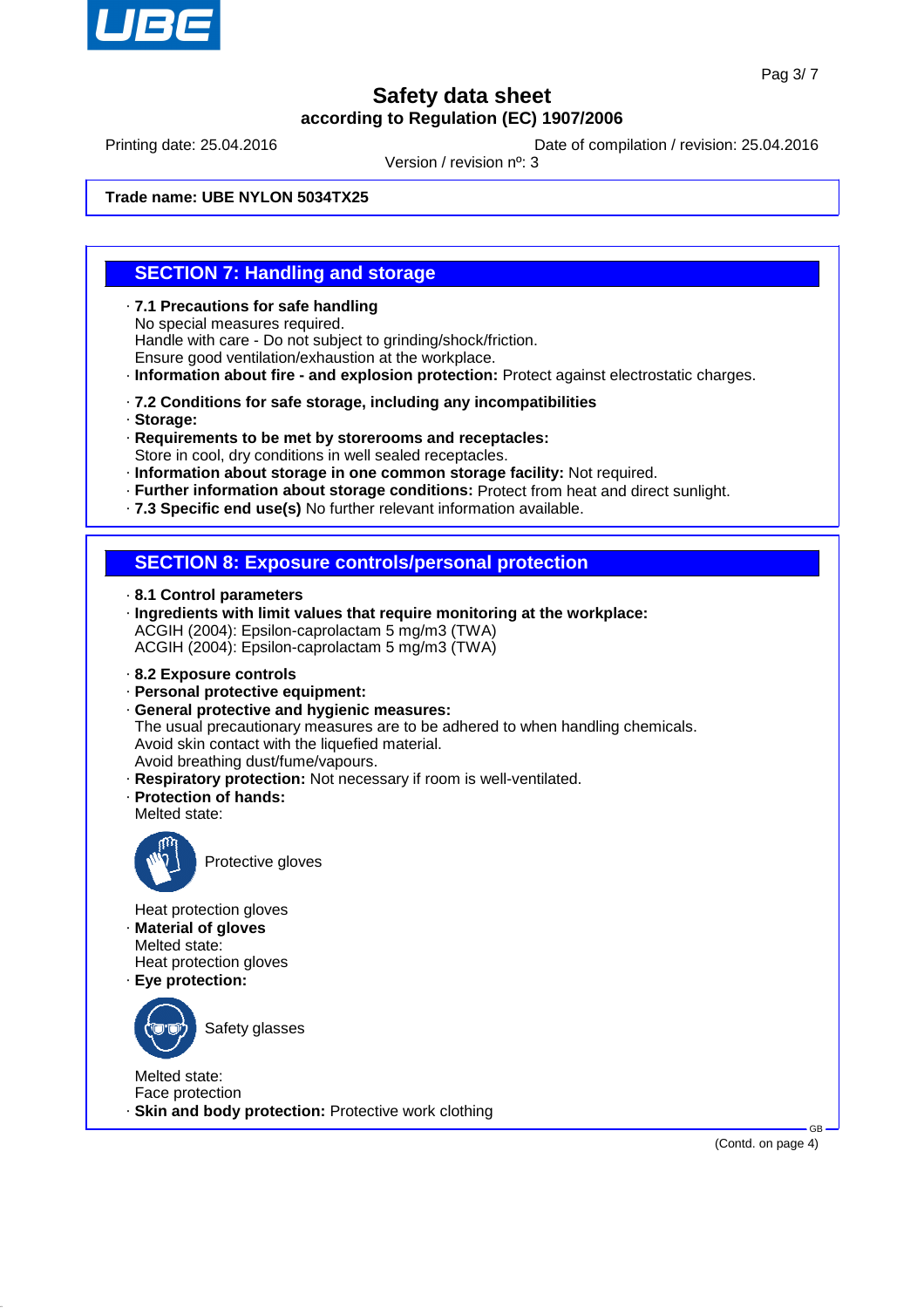

Printing date: 25.04.2016 **Date of compilation / revision: 25.04.2016** 

Version / revision nº: 3

**Trade name: UBE NYLON 5034TX25**

## **SECTION 7: Handling and storage**

- · **7.1 Precautions for safe handling** No special measures required. Handle with care - Do not subject to grinding/shock/friction. Ensure good ventilation/exhaustion at the workplace.
- · **Information about fire and explosion protection:** Protect against electrostatic charges.
- · **7.2 Conditions for safe storage, including any incompatibilities**
- · **Storage:**
- · **Requirements to be met by storerooms and receptacles:** Store in cool, dry conditions in well sealed receptacles.
- · **Information about storage in one common storage facility:** Not required.
- · **Further information about storage conditions:** Protect from heat and direct sunlight.
- · **7.3 Specific end use(s)** No further relevant information available.

## **SECTION 8: Exposure controls/personal protection**

- · **8.1 Control parameters**
- · **Ingredients with limit values that require monitoring at the workplace:** ACGIH (2004): Epsilon-caprolactam 5 mg/m3 (TWA) ACGIH (2004): Epsilon-caprolactam 5 mg/m3 (TWA)
- · **8.2 Exposure controls**
- · **Personal protective equipment:**
- · **General protective and hygienic measures:** The usual precautionary measures are to be adhered to when handling chemicals. Avoid skin contact with the liquefied material. Avoid breathing dust/fume/vapours.
- · **Respiratory protection:** Not necessary if room is well-ventilated.
- · **Protection of hands:**
- Melted state:



Protective gloves

Heat protection gloves

- · **Material of gloves** Melted state: Heat protection gloves
- · **Eye protection:**



Safety glasses

Melted state: Face protection · **Skin and body protection:** Protective work clothing

(Contd. on page 4)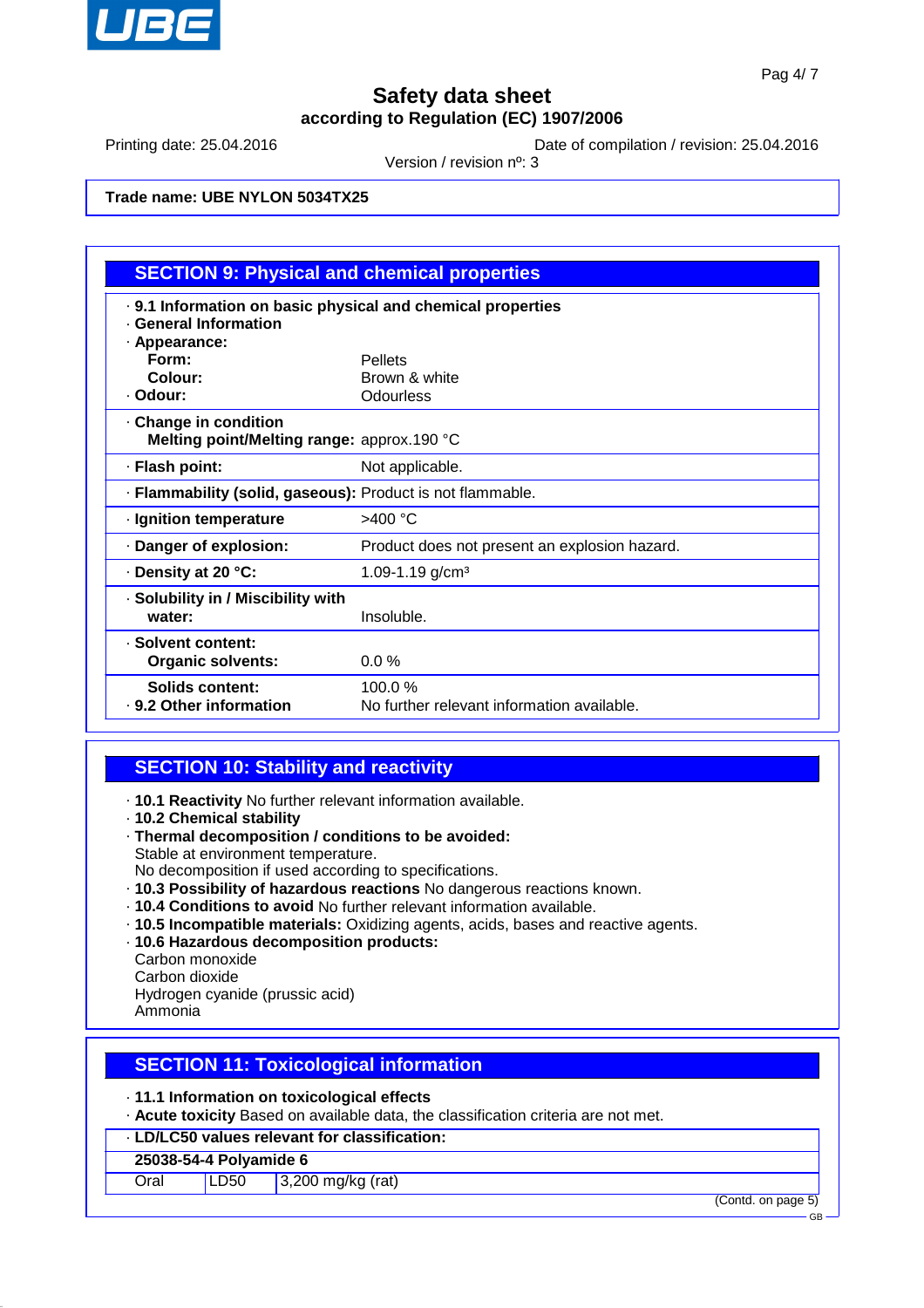

Printing date: 25.04.2016 **Date of compilation / revision: 25.04.2016** 

Version / revision nº: 3

#### **Trade name: UBE NYLON 5034TX25**

| <b>SECTION 9: Physical and chemical properties</b>                                                    |                                                      |  |  |
|-------------------------------------------------------------------------------------------------------|------------------------------------------------------|--|--|
| . 9.1 Information on basic physical and chemical properties<br>· General Information<br>· Appearance: |                                                      |  |  |
| Form:                                                                                                 | <b>Pellets</b>                                       |  |  |
| Colour:                                                                                               | Brown & white                                        |  |  |
| · Odour:                                                                                              | Odourless                                            |  |  |
| Change in condition<br>Melting point/Melting range: approx.190 °C                                     |                                                      |  |  |
| · Flash point:                                                                                        | Not applicable.                                      |  |  |
| · Flammability (solid, gaseous): Product is not flammable.                                            |                                                      |  |  |
| · Ignition temperature                                                                                | >400 °C                                              |  |  |
| Danger of explosion:                                                                                  | Product does not present an explosion hazard.        |  |  |
| · Density at 20 °C:                                                                                   | 1.09-1.19 $g/cm3$                                    |  |  |
| · Solubility in / Miscibility with<br>water:                                                          | Insoluble.                                           |  |  |
| · Solvent content:<br><b>Organic solvents:</b>                                                        | $0.0\%$                                              |  |  |
| Solids content:<br>. 9.2 Other information                                                            | 100.0%<br>No further relevant information available. |  |  |

## **SECTION 10: Stability and reactivity**

- · **10.1 Reactivity** No further relevant information available.
- · **10.2 Chemical stability**
- · **Thermal decomposition / conditions to be avoided:** Stable at environment temperature.
- No decomposition if used according to specifications.
- · **10.3 Possibility of hazardous reactions** No dangerous reactions known.
- · **10.4 Conditions to avoid** No further relevant information available.
- · **10.5 Incompatible materials:** Oxidizing agents, acids, bases and reactive agents.
- · **10.6 Hazardous decomposition products:**
- Carbon monoxide

Carbon dioxide

Hydrogen cyanide (prussic acid)

Ammonia

## **SECTION 11: Toxicological information**

- · **11.1 Information on toxicological effects**
- · **Acute toxicity** Based on available data, the classification criteria are not met.
- · **LD/LC50 values relevant for classification:**

#### **25038-54-4 Polyamide 6**

Oral LD50 3,200 mg/kg (rat)

(Contd. on page 5)

GB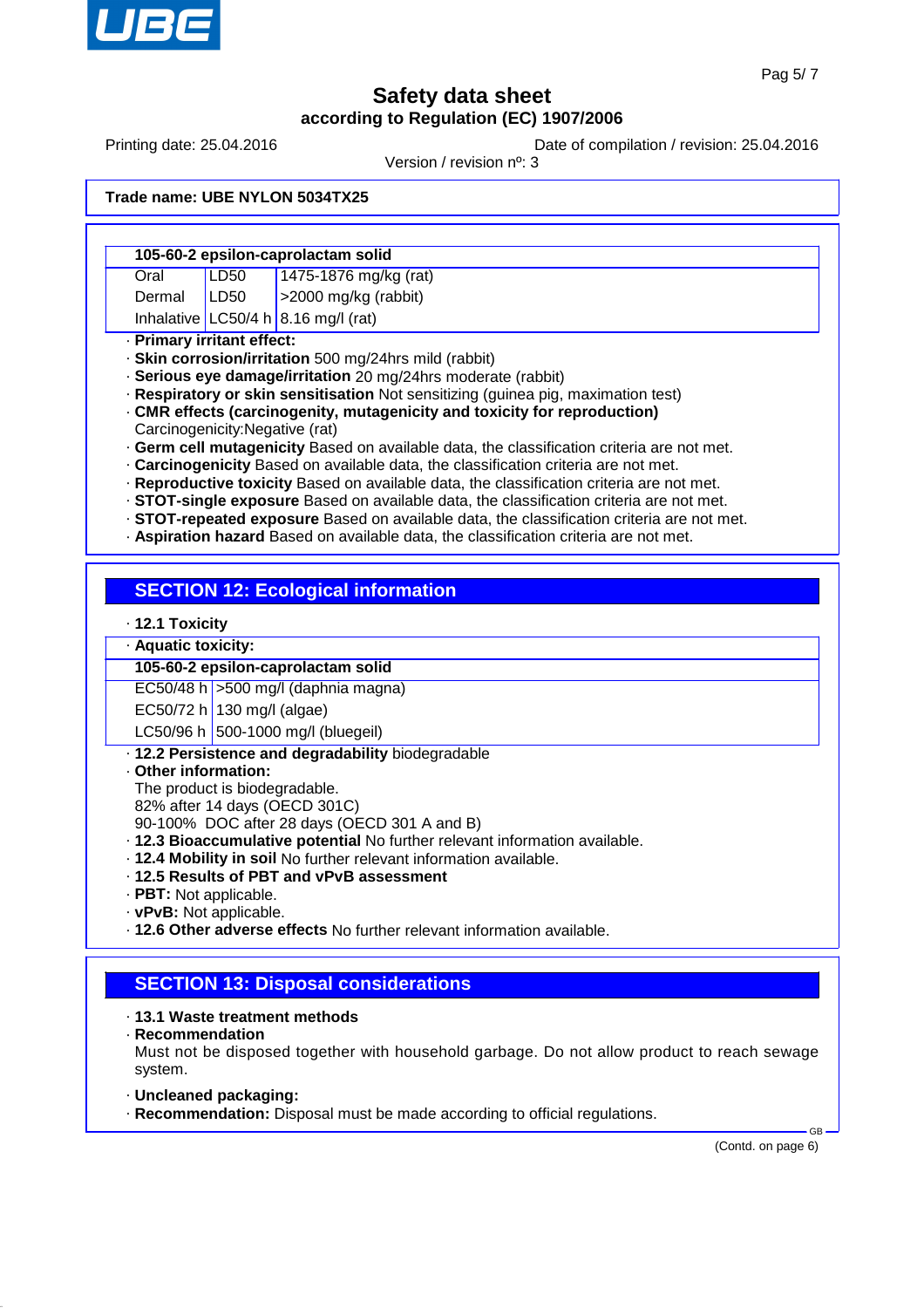

Printing date: 25.04.2016 **Date of compilation / revision: 25.04.2016** 

Version / revision nº: 3

#### **Trade name: UBE NYLON 5034TX25**

|                            | 105-60-2 epsilon-caprolactam solid |                                     |  |  |  |
|----------------------------|------------------------------------|-------------------------------------|--|--|--|
| Oral                       | LD50                               | 1475-1876 mg/kg (rat)               |  |  |  |
| Dermal                     | LD50                               | $ $ >2000 mg/kg (rabbit)            |  |  |  |
|                            |                                    | Inhalative LC50/4 h 8.16 mg/l (rat) |  |  |  |
| · Primary irritant effect: |                                    |                                     |  |  |  |

· **Skin corrosion/irritation** 500 mg/24hrs mild (rabbit)

· **Serious eye damage/irritation** 20 mg/24hrs moderate (rabbit)

· **Respiratory or skin sensitisation** Not sensitizing (guinea pig, maximation test)

· **CMR effects (carcinogenity, mutagenicity and toxicity for reproduction)** Carcinogenicity:Negative (rat)

· **Germ cell mutagenicity** Based on available data, the classification criteria are not met.

· **Carcinogenicity** Based on available data, the classification criteria are not met.

· **Reproductive toxicity** Based on available data, the classification criteria are not met.

· **STOT-single exposure** Based on available data, the classification criteria are not met.

· **STOT-repeated exposure** Based on available data, the classification criteria are not met.

· **Aspiration hazard** Based on available data, the classification criteria are not met.

## **SECTION 12: Ecological information**

· **12.1 Toxicity**

#### · **Aquatic toxicity:**

#### **105-60-2 epsilon-caprolactam solid**

EC50/48 h  $>$  500 mg/l (daphnia magna)

EC50/72 h 130 mg/l (algae)

LC50/96 h 500-1000 mg/l (bluegeil)

- · **12.2 Persistence and degradability** biodegradable
- · **Other information:**

The product is biodegradable.

82% after 14 days (OECD 301C)

90-100% DOC after 28 days (OECD 301 A and B)

- · **12.3 Bioaccumulative potential** No further relevant information available.
- · **12.4 Mobility in soil** No further relevant information available.
- · **12.5 Results of PBT and vPvB assessment**
- · **PBT:** Not applicable.
- · **vPvB:** Not applicable.
- · **12.6 Other adverse effects** No further relevant information available.

## **SECTION 13: Disposal considerations**

- · **13.1 Waste treatment methods**
- · **Recommendation**

Must not be disposed together with household garbage. Do not allow product to reach sewage system.

- · **Uncleaned packaging:**
- · **Recommendation:** Disposal must be made according to official regulations.

(Contd. on page 6)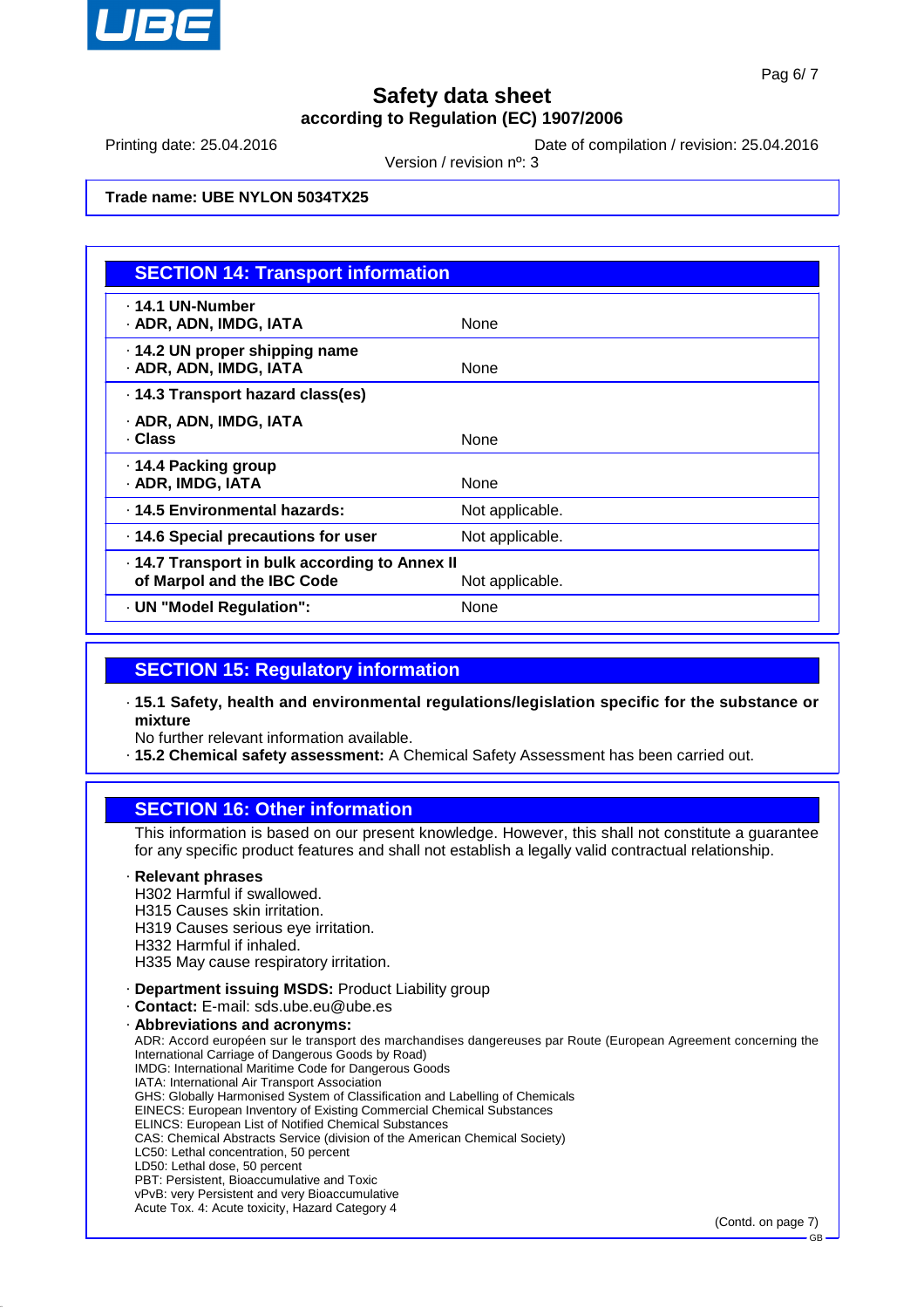

(Contd. on page 7)

GB

# **Safety data sheet according to Regulation (EC) 1907/2006**

Printing date: 25.04.2016 **Date of compilation / revision: 25.04.2016** 

Version / revision nº: 3

### **Trade name: UBE NYLON 5034TX25**

| <b>SECTION 14: Transport information</b>                                     |                 |  |
|------------------------------------------------------------------------------|-----------------|--|
| . 14.1 UN-Number<br>· ADR, ADN, IMDG, IATA                                   | <b>None</b>     |  |
| 14.2 UN proper shipping name<br>· ADR, ADN, IMDG, IATA                       | None            |  |
| . 14.3 Transport hazard class(es)                                            |                 |  |
| · ADR, ADN, IMDG, IATA<br>· Class                                            | None            |  |
| ⋅ 14.4 Packing group<br>· ADR, IMDG, IATA                                    | None            |  |
| . 14.5 Environmental hazards:                                                | Not applicable. |  |
| · 14.6 Special precautions for user                                          | Not applicable. |  |
| · 14.7 Transport in bulk according to Annex II<br>of Marpol and the IBC Code | Not applicable. |  |
| · UN "Model Regulation":                                                     | None            |  |

### **SECTION 15: Regulatory information**

- · **15.1 Safety, health and environmental regulations/legislation specific for the substance or mixture**
- No further relevant information available.
- · **15.2 Chemical safety assessment:** A Chemical Safety Assessment has been carried out.

### **SECTION 16: Other information**

This information is based on our present knowledge. However, this shall not constitute a guarantee for any specific product features and shall not establish a legally valid contractual relationship.

#### · **Relevant phrases**

- H302 Harmful if swallowed.
- H315 Causes skin irritation.
- H319 Causes serious eye irritation.
- H332 Harmful if inhaled.
- H335 May cause respiratory irritation.
- · **Department issuing MSDS:** Product Liability group
- · **Contact:** E-mail: sds.ube.eu@ube.es

Acute Tox. 4: Acute toxicity, Hazard Category 4

· **Abbreviations and acronyms:**

ADR: Accord européen sur le transport des marchandises dangereuses par Route (European Agreement concerning the International Carriage of Dangerous Goods by Road) IMDG: International Maritime Code for Dangerous Goods IATA: International Air Transport Association GHS: Globally Harmonised System of Classification and Labelling of Chemicals EINECS: European Inventory of Existing Commercial Chemical Substances ELINCS: European List of Notified Chemical Substances CAS: Chemical Abstracts Service (division of the American Chemical Society) LC50: Lethal concentration, 50 percent LD50: Lethal dose, 50 percent PBT: Persistent, Bioaccumulative and Toxic vPvB: very Persistent and very Bioaccumulative